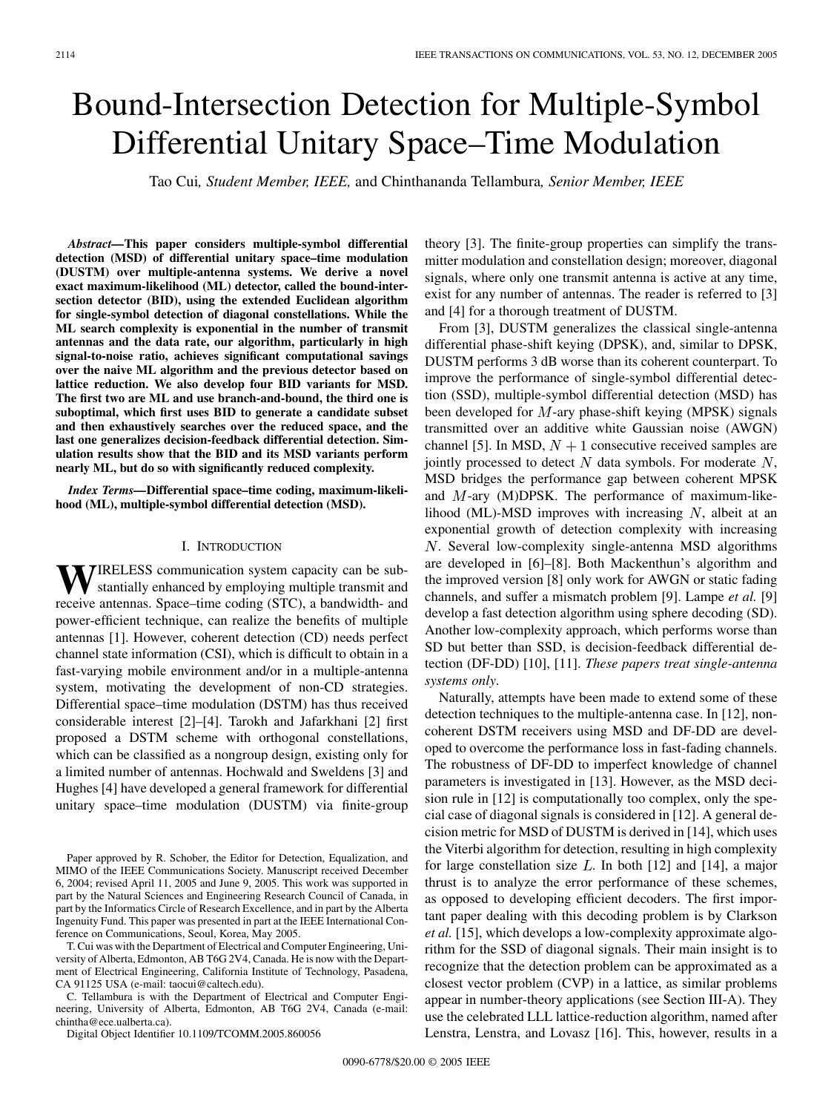# Bound-Intersection Detection for Multiple-Symbol Differential Unitary Space–Time Modulation

Tao Cui*, Student Member, IEEE,* and Chinthananda Tellambura*, Senior Member, IEEE*

*Abstract—***This paper considers multiple-symbol differential detection (MSD) of differential unitary space–time modulation (DUSTM) over multiple-antenna systems. We derive a novel exact maximum-likelihood (ML) detector, called the bound-intersection detector (BID), using the extended Euclidean algorithm for single-symbol detection of diagonal constellations. While the ML search complexity is exponential in the number of transmit antennas and the data rate, our algorithm, particularly in high signal-to-noise ratio, achieves significant computational savings over the naive ML algorithm and the previous detector based on lattice reduction. We also develop four BID variants for MSD. The first two are ML and use branch-and-bound, the third one is suboptimal, which first uses BID to generate a candidate subset and then exhaustively searches over the reduced space, and the last one generalizes decision-feedback differential detection. Simulation results show that the BID and its MSD variants perform nearly ML, but do so with significantly reduced complexity.**

*Index Terms—***Differential space–time coding, maximum-likelihood (ML), multiple-symbol differential detection (MSD).**

#### I. INTRODUCTION

**WIRELESS** communication system capacity can be substantially enhanced by employing multiple transmit and receive antennas. Space–time coding (STC), a bandwidth- and power-efficient technique, can realize the benefits of multiple antennas [\[1\]](#page-9-0). However, coherent detection (CD) needs perfect channel state information (CSI), which is difficult to obtain in a fast-varying mobile environment and/or in a multiple-antenna system, motivating the development of non-CD strategies. Differential space–time modulation (DSTM) has thus received considerable interest [\[2](#page-9-0)]–[[4\]](#page-9-0). Tarokh and Jafarkhani [[2\]](#page-9-0) first proposed a DSTM scheme with orthogonal constellations, which can be classified as a nongroup design, existing only for a limited number of antennas. Hochwald and Sweldens [\[3](#page-9-0)] and Hughes [\[4](#page-9-0)] have developed a general framework for differential unitary space–time modulation (DUSTM) via finite-group

Paper approved by R. Schober, the Editor for Detection, Equalization, and MIMO of the IEEE Communications Society. Manuscript received December 6, 2004; revised April 11, 2005 and June 9, 2005. This work was supported in part by the Natural Sciences and Engineering Research Council of Canada, in part by the Informatics Circle of Research Excellence, and in part by the Alberta Ingenuity Fund. This paper was presented in part at the IEEE International Conference on Communications, Seoul, Korea, May 2005.

T. Cui was with the Department of Electrical and Computer Engineering, University of Alberta, Edmonton, AB T6G 2V4, Canada. He is now with the Department of Electrical Engineering, California Institute of Technology, Pasadena, CA 91125 USA (e-mail: taocui@caltech.edu).

C. Tellambura is with the Department of Electrical and Computer Engineering, University of Alberta, Edmonton, AB T6G 2V4, Canada (e-mail: chintha@ece.ualberta.ca).

Digital Object Identifier 10.1109/TCOMM.2005.860056

theory [[3\]](#page-9-0). The finite-group properties can simplify the transmitter modulation and constellation design; moreover, diagonal signals, where only one transmit antenna is active at any time, exist for any number of antennas. The reader is referred to [\[3](#page-9-0)] and [[4\]](#page-9-0) for a thorough treatment of DUSTM.

From [\[3](#page-9-0)], DUSTM generalizes the classical single-antenna differential phase-shift keying (DPSK), and, similar to DPSK, DUSTM performs 3 dB worse than its coherent counterpart. To improve the performance of single-symbol differential detection (SSD), multiple-symbol differential detection (MSD) has been developed for  $M$ -ary phase-shift keying (MPSK) signals transmitted over an additive white Gaussian noise (AWGN) channel [[5\]](#page-9-0). In MSD,  $N + 1$  consecutive received samples are jointly processed to detect  $N$  data symbols. For moderate  $N$ , MSD bridges the performance gap between coherent MPSK and  $M$ -ary (M)DPSK. The performance of maximum-likelihood (ML)-MSD improves with increasing  $N$ , albeit at an exponential growth of detection complexity with increasing . Several low-complexity single-antenna MSD algorithms are developed in [\[6](#page-9-0)]–[\[8](#page-9-0)]. Both Mackenthun's algorithm and the improved version [[8\]](#page-9-0) only work for AWGN or static fading channels, and suffer a mismatch problem [\[9](#page-9-0)]. Lampe *et al.* [\[9](#page-9-0)] develop a fast detection algorithm using sphere decoding (SD). Another low-complexity approach, which performs worse than SD but better than SSD, is decision-feedback differential detection (DF-DD) [\[10\]](#page-9-0), [\[11](#page-9-0)]. *These papers treat single-antenna systems only*.

Naturally, attempts have been made to extend some of these detection techniques to the multiple-antenna case. In [\[12](#page-9-0)], noncoherent DSTM receivers using MSD and DF-DD are developed to overcome the performance loss in fast-fading channels. The robustness of DF-DD to imperfect knowledge of channel parameters is investigated in [\[13](#page-9-0)]. However, as the MSD decision rule in [\[12\]](#page-9-0) is computationally too complex, only the special case of diagonal signals is considered in [\[12](#page-9-0)]. A general decision metric for MSD of DUSTM is derived in [[14\]](#page-9-0), which uses the Viterbi algorithm for detection, resulting in high complexity for large constellation size  $L$ . In both [[12\]](#page-9-0) and [[14\]](#page-9-0), a major thrust is to analyze the error performance of these schemes, as opposed to developing efficient decoders. The first important paper dealing with this decoding problem is by Clarkson *et al.* [[15\]](#page-9-0), which develops a low-complexity approximate algorithm for the SSD of diagonal signals. Their main insight is to recognize that the detection problem can be approximated as a closest vector problem (CVP) in a lattice, as similar problems appear in number-theory applications (see Section III-A). They use the celebrated LLL lattice-reduction algorithm, named after Lenstra, Lenstra, and Lovasz [[16\]](#page-9-0). This, however, results in a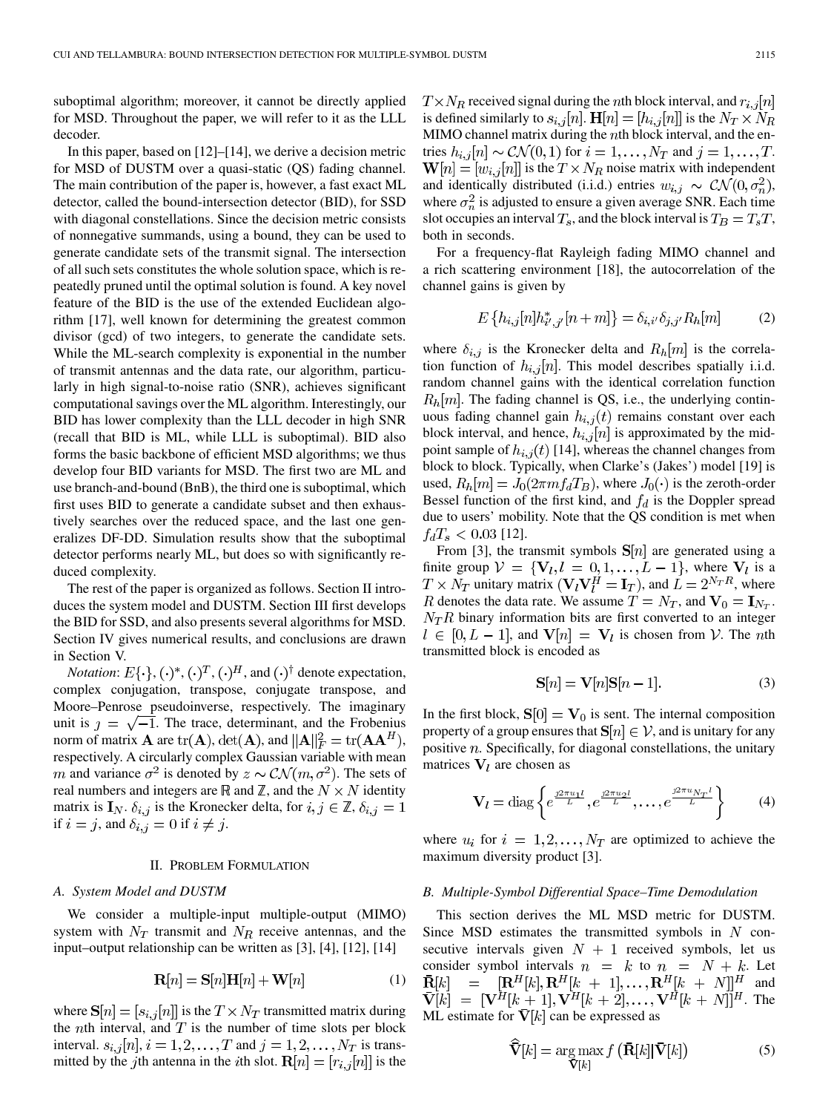suboptimal algorithm; moreover, it cannot be directly applied for MSD. Throughout the paper, we will refer to it as the LLL decoder.

In this paper, based on [[12\]](#page-9-0)–[\[14](#page-9-0)], we derive a decision metric for MSD of DUSTM over a quasi-static (QS) fading channel. The main contribution of the paper is, however, a fast exact ML detector, called the bound-intersection detector (BID), for SSD with diagonal constellations. Since the decision metric consists of nonnegative summands, using a bound, they can be used to generate candidate sets of the transmit signal. The intersection of all such sets constitutes the whole solution space, which is repeatedly pruned until the optimal solution is found. A key novel feature of the BID is the use of the extended Euclidean algorithm [[17\]](#page-9-0), well known for determining the greatest common divisor (gcd) of two integers, to generate the candidate sets. While the ML-search complexity is exponential in the number of transmit antennas and the data rate, our algorithm, particularly in high signal-to-noise ratio (SNR), achieves significant computational savings over the ML algorithm. Interestingly, our BID has lower complexity than the LLL decoder in high SNR (recall that BID is ML, while LLL is suboptimal). BID also forms the basic backbone of efficient MSD algorithms; we thus develop four BID variants for MSD. The first two are ML and use branch-and-bound (BnB), the third one is suboptimal, which first uses BID to generate a candidate subset and then exhaustively searches over the reduced space, and the last one generalizes DF-DD. Simulation results show that the suboptimal detector performs nearly ML, but does so with significantly reduced complexity.

The rest of the paper is organized as follows. Section II introduces the system model and DUSTM. Section III first develops the BID for SSD, and also presents several algorithms for MSD. Section IV gives numerical results, and conclusions are drawn in Section V.

*Notation*:  $E\{\cdot\}, (\cdot)^*, (\cdot)^T, (\cdot)^H$ , and  $(\cdot)^{\dagger}$  denote expectation, complex conjugation, transpose, conjugate transpose, and Moore–Penrose pseudoinverse, respectively. The imaginary unit is  $\gamma = \sqrt{-1}$ . The trace, determinant, and the Frobenius norm of matrix **A** are  $tr(A)$ ,  $det(A)$ , and  $||A||_F^2 = tr(AA^H)$ , respectively. A circularly complex Gaussian variable with mean m and variance  $\sigma^2$  is denoted by  $z \sim \mathcal{CN}(m, \sigma^2)$ . The sets of real numbers and integers are  $\mathbb R$  and  $\mathbb Z$ , and the  $N \times N$  identity matrix is  $I_N$ .  $\delta_{i,j}$  is the Kronecker delta, for  $i, j \in \mathbb{Z}$ ,  $\delta_{i,j} = 1$ if  $i = j$ , and  $\delta_{i,j} = 0$  if  $i \neq j$ .

### II. PROBLEM FORMULATION

## *A. System Model and DUSTM*

We consider a multiple-input multiple-output (MIMO) system with  $N_T$  transmit and  $N_R$  receive antennas, and the input–output relationship can be written as [\[3](#page-9-0)], [[4\]](#page-9-0), [\[12](#page-9-0)], [\[14](#page-9-0)]

$$
\mathbf{R}[n] = \mathbf{S}[n]\mathbf{H}[n] + \mathbf{W}[n] \tag{1}
$$

where  $S[n] = [s_{i,j}[n]]$  is the  $T \times N_T$  transmitted matrix during the *n*th interval, and  $T$  is the number of time slots per block interval.  $s_{i,j}[n]$ ,  $i = 1, 2, ..., T$  and  $j = 1, 2, ..., N_T$  is transmitted by the jth antenna in the *i*th slot.  $\mathbf{R}[n] = [r_{i,j}[n]]$  is the  $T \times N_R$  received signal during the nth block interval, and  $r_{i,j}[n]$ is defined similarly to  $s_{i,j}[n]$ .  $\mathbf{H}[n] = [h_{i,j}[n]]$  is the  $N_T \times N_R$ MIMO channel matrix during the  $n$ th block interval, and the entries  $h_{i,j}[n] \sim \mathcal{CN}(0,1)$  for  $i = 1,\ldots,N_T$  and  $j = 1,\ldots,T$ .  $\mathbf{W}[n] = [w_{i,j}[n]]$  is the  $T \times N_R$  noise matrix with independent and identically distributed (i.i.d.) entries  $w_{i,j} \sim \mathcal{CN}(0, \sigma_n^2)$ , where  $\sigma_n^2$  is adjusted to ensure a given average SNR. Each time slot occupies an interval  $T_s$ , and the block interval is  $T_B = T_sT$ , both in seconds.

For a frequency-flat Rayleigh fading MIMO channel and a rich scattering environment [\[18](#page-9-0)], the autocorrelation of the channel gains is given by

$$
E\left\{h_{i,j}[n]h_{i',j'}^{*}[n+m]\right\} = \delta_{i,i'}\delta_{j,j'}R_{h}[m]
$$
 (2)

where  $\delta_{i,j}$  is the Kronecker delta and  $R_h[m]$  is the correlation function of  $h_{i,j}[n]$ . This model describes spatially i.i.d. random channel gains with the identical correlation function  $R_h[m]$ . The fading channel is QS, i.e., the underlying continuous fading channel gain  $h_{i,j}(t)$  remains constant over each block interval, and hence,  $h_{i,j}[n]$  is approximated by the midpoint sample of  $h_{i,j}(t)$  [\[14](#page-9-0)], whereas the channel changes from block to block. Typically, when Clarke's (Jakes') model [[19\]](#page-9-0) is used,  $R_h[m] = J_0(2\pi m f_d T_B)$ , where  $J_0(\cdot)$  is the zeroth-order Bessel function of the first kind, and  $f_d$  is the Doppler spread due to users' mobility. Note that the QS condition is met when  $f_dT_s < 0.03$  [\[12\]](#page-9-0).

From [[3\]](#page-9-0), the transmit symbols  $S[n]$  are generated using a finite group  $V = \{V_l, l = 0, 1, \ldots, L-1\}$ , where  $V_l$  is a  $T \times N_T$  unitary matrix  $(V_l V_l^H = I_T)$ , and  $L = 2^{N_T R}$ , where R denotes the data rate. We assume  $T = N_T$ , and  $V_0 = I_{N_T}$ .  $N_T R$  binary information bits are first converted to an integer  $l \in [0, L - 1]$ , and  $V[n] = V_l$  is chosen from V. The nth transmitted block is encoded as

$$
\mathbf{S}[n] = \mathbf{V}[n]\mathbf{S}[n-1].\tag{3}
$$

In the first block,  $S[0] = V_0$  is sent. The internal composition property of a group ensures that  $S[n] \in V$ , and is unitary for any positive  $n$ . Specifically, for diagonal constellations, the unitary matrices  $V_l$  are chosen as

$$
\mathbf{V}_{l} = \text{diag}\left\{e^{\frac{j2\pi u_{1}l}{L}}, e^{\frac{j2\pi u_{2}l}{L}}, \dots, e^{\frac{j2\pi u_{N_{T}}l}{L}}\right\}
$$
(4)

where  $u_i$  for  $i = 1, 2, ..., N_T$  are optimized to achieve the maximum diversity product [\[3](#page-9-0)].

#### *B. Multiple-Symbol Differential Space–Time Demodulation*

This section derives the ML MSD metric for DUSTM. Since MSD estimates the transmitted symbols in  $N$  consecutive intervals given  $N + 1$  received symbols, let us consider symbol intervals  $n = k$  to  $n = N + k$ . Let  $[\mathbf{R}^H[k], \mathbf{R}^H[k+1], \ldots, \mathbf{R}^H[k+N]]^H$  and  $R[k] =$  $\vec{V}[k] = [\vec{V}^H[k+1], \vec{V}^H[k+2], \dots, \vec{V}^H[k+N]]^H$ . The ML estimate for  $\bar{\mathbf{V}}[k]$  can be expressed as

$$
\widehat{\bar{\mathbf{V}}}[k] = \underset{\bar{\mathbf{V}}[k]}{\arg \max} f\left(\bar{\mathbf{R}}[k] | \bar{\mathbf{V}}[k]\right) \tag{5}
$$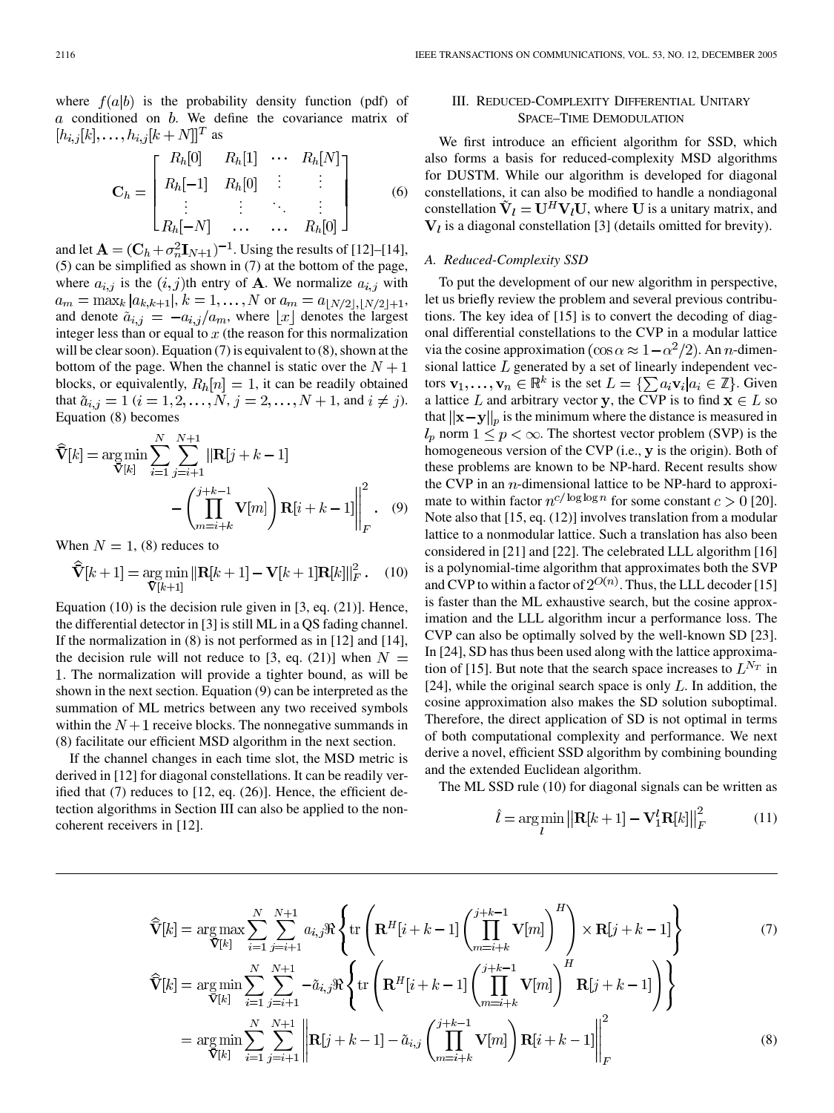where  $f(a|b)$  is the probability density function (pdf) of  $a$  conditioned on  $b$ . We define the covariance matrix of  $[h_{i,j}[k], \ldots, h_{i,j}[k+N]]^T$  as

$$
\mathbf{C}_{h} = \begin{bmatrix} R_{h}[0] & R_{h}[1] & \cdots & R_{h}[N] \\ R_{h}[-1] & R_{h}[0] & \vdots & \vdots \\ \vdots & \vdots & \ddots & \vdots \\ R_{h}[-N] & \cdots & \cdots & R_{h}[0] \end{bmatrix}
$$
(6)

and let  $\mathbf{A} = (\mathbf{C}_h + \sigma_n^2 \mathbf{I}_{N+1})^{-1}$ . Using the results of [\[12](#page-9-0)]–[[14\]](#page-9-0), (5) can be simplified as shown in (7) at the bottom of the page, where  $a_{i,j}$  is the  $(i, j)$ th entry of A. We normalize  $a_{i,j}$  with  $a_m = \max_k |a_{k,k+1}|, k = 1, \ldots, N$  or  $a_m = a_{\lfloor N/2 \rfloor, \lfloor N/2 \rfloor + 1}$ , and denote  $\tilde{a}_{i,j} = -a_{i,j}/a_m$ , where  $\lfloor x \rfloor$  denotes the largest integer less than or equal to  $x$  (the reason for this normalization will be clear soon). Equation (7) is equivalent to (8), shown at the bottom of the page. When the channel is static over the  $N+1$ blocks, or equivalently,  $R_h[n] = 1$ , it can be readily obtained that  $\tilde{a}_{i,j} = 1$   $(i = 1, 2, ..., N, j = 2, ..., N + 1,$  and  $i \neq j$ . Equation (8) becomes

$$
\widehat{\mathbf{V}}[k] = \arg \min_{\mathbf{V}[k]} \sum_{i=1}^{N} \sum_{j=i+1}^{N+1} ||\mathbf{R}[j+k-1]|
$$

$$
- \left( \prod_{m=i+k}^{j+k-1} \mathbf{V}[m] \right) \mathbf{R}[i+k-1]| \Big|_{F}^{2} . \quad (9)
$$

When  $N = 1$ , (8) reduces to

$$
\widehat{\mathbf{V}}[k+1] = \underset{\mathbf{V}[k+1]}{\arg \min} ||\mathbf{R}[k+1] - \mathbf{V}[k+1]\mathbf{R}[k]||_F^2. \quad (10)
$$

Equation (10) is the decision rule given in [\[3](#page-9-0), eq. (21)]. Hence, the differential detector in [[3\]](#page-9-0) is still ML in a QS fading channel. If the normalization in (8) is not performed as in [[12\]](#page-9-0) and [[14\]](#page-9-0), the decision rule will not reduce to [\[3](#page-9-0), eq. (21)] when  $N =$ . The normalization will provide a tighter bound, as will be shown in the next section. Equation (9) can be interpreted as the summation of ML metrics between any two received symbols within the  $N+1$  receive blocks. The nonnegative summands in (8) facilitate our efficient MSD algorithm in the next section.

If the channel changes in each time slot, the MSD metric is derived in [\[12](#page-9-0)] for diagonal constellations. It can be readily verified that (7) reduces to [[12,](#page-9-0) eq. (26)]. Hence, the efficient detection algorithms in Section III can also be applied to the noncoherent receivers in [\[12](#page-9-0)].

## III. REDUCED-COMPLEXITY DIFFERENTIAL UNITARY SPACE–TIME DEMODULATION

We first introduce an efficient algorithm for SSD, which also forms a basis for reduced-complexity MSD algorithms for DUSTM. While our algorithm is developed for diagonal constellations, it can also be modified to handle a nondiagonal constellation  $\tilde{V}_l = U^H V_l U$ , where U is a unitary matrix, and  $V_l$  is a diagonal constellation [[3\]](#page-9-0) (details omitted for brevity).

## *A. Reduced-Complexity SSD*

To put the development of our new algorithm in perspective, let us briefly review the problem and several previous contributions. The key idea of [[15\]](#page-9-0) is to convert the decoding of diagonal differential constellations to the CVP in a modular lattice via the cosine approximation  $(\cos \alpha \approx 1 - \alpha^2/2)$ . An *n*-dimensional lattice  $L$  generated by a set of linearly independent vectors  $\mathbf{v}_1, \dots, \mathbf{v}_n \in \mathbb{R}^k$  is the set  $L = \{\sum a_i \mathbf{v}_i | a_i \in \mathbb{Z}\}\)$ . Given a lattice L and arbitrary vector y, the CVP is to find  $x \in L$  so that  $||\mathbf{x}-\mathbf{y}||_p$  is the minimum where the distance is measured in  $l_p$  norm  $1 \leq p < \infty$ . The shortest vector problem (SVP) is the homogeneous version of the CVP (i.e., y is the origin). Both of these problems are known to be NP-hard. Recent results show the CVP in an  $n$ -dimensional lattice to be NP-hard to approximate to within factor  $n^{c/\log \log n}$  for some constant  $c > 0$  [[20\]](#page-9-0). Note also that [[15,](#page-9-0) eq. (12)] involves translation from a modular lattice to a nonmodular lattice. Such a translation has also been considered in [\[21](#page-9-0)] and [[22\]](#page-9-0). The celebrated LLL algorithm [\[16](#page-9-0)] is a polynomial-time algorithm that approximates both the SVP and CVP to within a factor of  $2^{O(n)}$ . Thus, the LLL decoder [\[15](#page-9-0)] is faster than the ML exhaustive search, but the cosine approximation and the LLL algorithm incur a performance loss. The CVP can also be optimally solved by the well-known SD [[23\]](#page-9-0). In [\[24](#page-9-0)], SD has thus been used along with the lattice approxima-tion of [[15\]](#page-9-0). But note that the search space increases to  $L^{N_T}$  in [[24\]](#page-9-0), while the original search space is only  $L$ . In addition, the cosine approximation also makes the SD solution suboptimal. Therefore, the direct application of SD is not optimal in terms of both computational complexity and performance. We next derive a novel, efficient SSD algorithm by combining bounding and the extended Euclidean algorithm.

The ML SSD rule (10) for diagonal signals can be written as

$$
\hat{l} = \underset{l}{\arg\min} \left\| \mathbf{R}[k+1] - \mathbf{V}_1^l \mathbf{R}[k] \right\|_F^2 \tag{11}
$$

$$
\widehat{\mathbf{V}}[k] = \underset{\mathbf{V}[k]}{\arg \max} \sum_{i=1}^{N} \sum_{j=i+1}^{N+1} a_{i,j} \Re \left\{ \text{tr} \left( \mathbf{R}^{H}[i+k-1] \left( \prod_{m=i+k}^{j+k-1} \mathbf{V}[m] \right)^{H} \right) \times \mathbf{R}[j+k-1] \right\}
$$
\n
$$
\widehat{\mathbf{V}}[k] = \underset{\mathbf{V}[k]}{\arg \min} \sum_{i=1}^{N} \sum_{j=i+1}^{N+1} -\tilde{a}_{i,j} \Re \left\{ \text{tr} \left( \mathbf{R}^{H}[i+k-1] \left( \prod_{m=i+k}^{j+k-1} \mathbf{V}[m] \right)^{H} \mathbf{R}[j+k-1] \right) \right\}
$$
\n
$$
= \underset{\mathbf{V}[k]}{\arg \min} \sum_{i=1}^{N} \sum_{j=i+1}^{N+1} \left\| \mathbf{R}[j+k-1] - \tilde{a}_{i,j} \left( \prod_{m=i+k}^{j+k-1} \mathbf{V}[m] \right) \mathbf{R}[i+k-1] \right\|_{F}^{2}
$$
\n(8)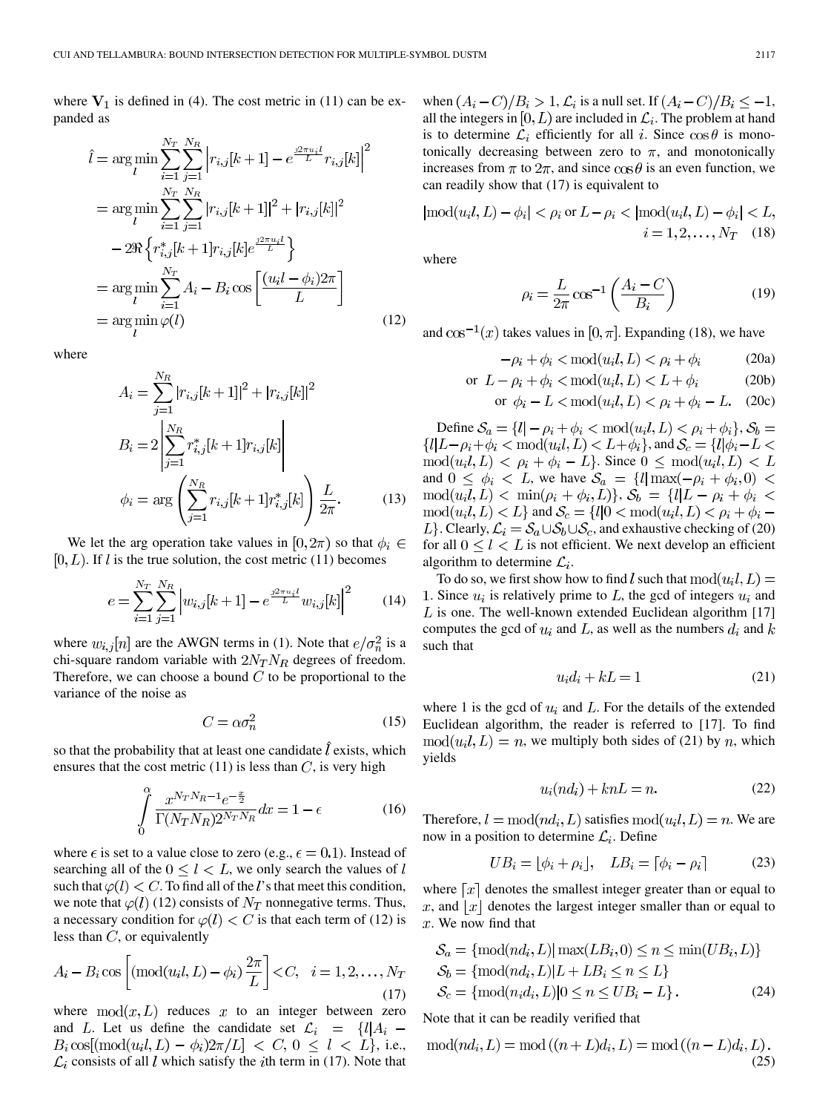where  $V_1$  is defined in (4). The cost metric in (11) can be expanded as

$$
\hat{l} = \arg\min_{l} \sum_{i=1}^{N_T} \sum_{j=1}^{N_R} \left| r_{i,j}[k+1] - e^{\frac{j2\pi u_i l}{L}} r_{i,j}[k] \right|^2
$$
  
\n
$$
= \arg\min_{l} \sum_{i=1}^{N_T} \sum_{j=1}^{N_R} |r_{i,j}[k+1]|^2 + |r_{i,j}[k]|^2
$$
  
\n
$$
- 2\Re \left\{ r_{i,j}^*[k+1]r_{i,j}[k]e^{\frac{j2\pi u_i l}{L}} \right\}
$$
  
\n
$$
= \arg\min_{l} \sum_{i=1}^{N_T} A_i - B_i \cos \left[ \frac{(u_i l - \phi_i)2\pi}{L} \right]
$$
  
\n
$$
= \arg\min_{l} \varphi(l)
$$
 (12)

where

$$
A_{i} = \sum_{j=1}^{N_{R}} |r_{i,j}[k+1]|^{2} + |r_{i,j}[k]|^{2}
$$
  
\n
$$
B_{i} = 2 \left| \sum_{j=1}^{N_{R}} r_{i,j}^{*}[k+1]r_{i,j}[k] \right|
$$
  
\n
$$
\phi_{i} = \arg \left( \sum_{j=1}^{N_{R}} r_{i,j}[k+1]r_{i,j}^{*}[k] \right) \frac{L}{2\pi}.
$$
\n(13)

We let the arg operation take values in [0,  $2\pi$ ) so that  $\phi_i \in$  $[0, L)$ . If l is the true solution, the cost metric (11) becomes

$$
e = \sum_{i=1}^{N_T} \sum_{j=1}^{N_R} \left| w_{i,j}[k+1] - e^{\frac{j2\pi u_i t}{L}} w_{i,j}[k] \right|^2 \tag{14}
$$

where  $w_{i,j}[n]$  are the AWGN terms in (1). Note that  $e/\sigma_n^2$  is a chi-square random variable with  $2N_T N_R$  degrees of freedom. Therefore, we can choose a bound  $C$  to be proportional to the variance of the noise as

$$
C = \alpha \sigma_n^2 \tag{15}
$$

so that the probability that at least one candidate  $\hat{l}$  exists, which ensures that the cost metric  $(11)$  is less than C, is very high

$$
\int_{0}^{\alpha} \frac{x^{N_T N_R - 1} e^{-\frac{x}{2}}}{\Gamma(N_T N_R) 2^{N_T N_R}} dx = 1 - \epsilon
$$
\n(16)

where  $\epsilon$  is set to a value close to zero (e.g.,  $\epsilon = 0.1$ ). Instead of searching all of the  $0 \leq l \leq L$ , we only search the values of l such that  $\varphi(l) < C$ . To find all of the l's that meet this condition, we note that  $\varphi(l)$  (12) consists of  $N_T$  nonnegative terms. Thus, a necessary condition for  $\varphi(l) < C$  is that each term of (12) is less than  $C$ , or equivalently

$$
A_i - B_i \cos\left[\left(\text{mod}(u_i l, L) - \phi_i\right) \frac{2\pi}{L}\right] < C, \quad i = 1, 2, \dots, N_T \tag{17}
$$

where  $mod(x, L)$  reduces x to an integer between zero and L. Let us define the candidate set  $\mathcal{L}_i = \{l | A_i - \mathcal{L}_i\}$  $B_i \cos[(\text{mod}(u_i l, L) - \phi_i) 2\pi/L] < C, 0 \le l < L$ , i.e.,  $\mathcal{L}_i$  consists of all l which satisfy the ith term in (17). Note that when  $(A_i - C)/B_i > 1$ ,  $\mathcal{L}_i$  is a null set. If  $(A_i - C)/B_i \leq -1$ , all the integers in  $[0, L)$  are included in  $\mathcal{L}_i$ . The problem at hand is to determine  $\mathcal{L}_i$  efficiently for all i. Since  $\cos \theta$  is monotonically decreasing between zero to  $\pi$ , and monotonically increases from  $\pi$  to  $2\pi$ , and since  $\cos \theta$  is an even function, we can readily show that (17) is equivalent to

$$
|mod(u_i l, L) - \phi_i| < \rho_i \text{ or } L - \rho_i < |mod(u_i l, L) - \phi_i| < L,
$$
  

$$
i = 1, 2, ..., N_T \quad (18)
$$

where

$$
\rho_i = \frac{L}{2\pi} \cos^{-1} \left( \frac{A_i - C}{B_i} \right) \tag{19}
$$

and  $\cos^{-1}(x)$  takes values in [0,  $\pi$ ]. Expanding (18), we have

$$
-\rho_i + \phi_i < \text{mod}(u_i l, L) < \rho_i + \phi_i \tag{20a}
$$

$$
\text{or } L - \rho_i + \phi_i < \text{mod}(u_i l, L) < L + \phi_i \tag{20b}
$$

$$
\text{or } \phi_i - L < \text{mod}(u_i, L) < \rho_i + \phi_i - L. \tag{20c}
$$

Define  $S_a = \{l | -\rho_i + \phi_i < \text{mod}(u_i l, L) < \rho_i + \phi_i\}, S_b =$  ${lL-\rho_i+\phi_i < \text{mod}(u_i, L) < L+\phi_i}, \text{and } S_c = {l|\phi_i - L|}$  $mod(u_i l, L) < \rho_i + \phi_i - L$ . Since  $0 \leq mod(u_i l, L) < L$ and  $0 \leq \phi_i \langle L, w \rangle$  have  $\mathcal{S}_a = \{l | \max(-\rho_i + \phi_i, 0) \langle L, w \rangle \}$  $\text{mod}(u_i l, L) < \text{min}(\rho_i + \phi_i, L)$ ,  $S_b = \{l | L - \rho_i + \phi_i$  $\text{mod}(u_i l, L) < L$  and  $\mathcal{S}_c = \{l | 0 < \text{mod}(u_i l, L) < \rho_i + \phi_i - \rho_i\}$ L}. Clearly,  $\mathcal{L}_i = \mathcal{S}_a \cup \mathcal{S}_b \cup \mathcal{S}_c$ , and exhaustive checking of (20) for all  $0 \le l \le L$  is not efficient. We next develop an efficient algorithm to determine  $\mathcal{L}_i$ .

To do so, we first show how to find l such that  $mod(u_i l, L)$  = 1. Since  $u_i$  is relatively prime to L, the gcd of integers  $u_i$  and  $L$  is one. The well-known extended Euclidean algorithm [[17\]](#page-9-0) computes the gcd of  $u_i$  and L, as well as the numbers  $d_i$  and k such that

$$
u_i d_i + k = 1 \tag{21}
$$

where 1 is the gcd of  $u_i$  and L. For the details of the extended Euclidean algorithm, the reader is referred to [\[17](#page-9-0)]. To find  $mod(u_i, L) = n$ , we multiply both sides of (21) by n, which yields

$$
u_i(nd_i) + knL = n.
$$
 (22)

Therefore,  $l = \text{mod}(nd_i, L)$  satisfies  $\text{mod}(u_i, L) = n$ . We are now in a position to determine  $\mathcal{L}_i$ . Define

$$
UB_i = \lfloor \phi_i + \rho_i \rfloor, \quad LB_i = \lceil \phi_i - \rho_i \rceil \tag{23}
$$

where  $\lceil x \rceil$  denotes the smallest integer greater than or equal to x, and |x| denotes the largest integer smaller than or equal to  $x$ . We now find that

$$
S_a = \{ \text{mod}(nd_i, L) | \max(LB_i, 0) \le n \le \min(UB_i, L) \}
$$
  
\n
$$
S_b = \{ \text{mod}(nd_i, L) | L + LB_i \le n \le L \}
$$
  
\n
$$
S_c = \{ \text{mod}(n_i d_i, L) | 0 \le n \le UB_i - L \}. \tag{24}
$$

Note that it can be readily verified that

$$
mod(nd_i, L) = mod((n + L)d_i, L) = mod((n - L)d_i, L).
$$
\n(25)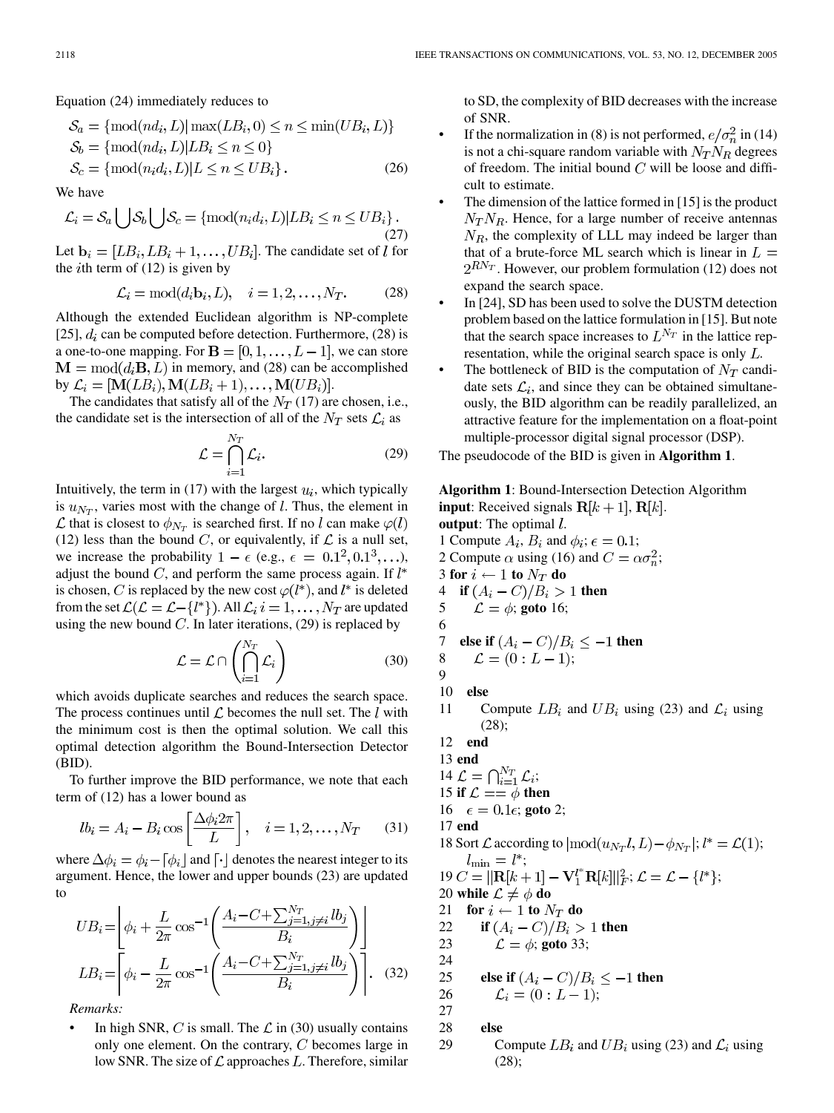Equation (24) immediately reduces to

$$
S_a = \{mod(nd_i, L) | max(LB_i, 0) \le n \le \min(UB_i, L)\}
$$
  
\n
$$
S_b = \{mod(nd_i, L) | LB_i \le n \le 0\}
$$
  
\n
$$
S_c = \{mod(n_i d_i, L) | L \le n \le UB_i\}.
$$
\n(26)

We have

$$
\mathcal{L}_i = \mathcal{S}_a \bigcup \mathcal{S}_b \bigcup \mathcal{S}_c = \{ \text{mod}(n_i d_i, L) | LB_i \le n \le UB_i \}.
$$
\n(27)

Let  $\mathbf{b}_i = [LB_i, LB_i + 1, \dots, UB_i]$ . The candidate set of l for the *i*th term of  $(12)$  is given by

$$
\mathcal{L}_i = \text{mod}(d_i \mathbf{b}_i, L), \quad i = 1, 2, \dots, N_T. \tag{28}
$$

Although the extended Euclidean algorithm is NP-complete [[25\]](#page-9-0),  $d_i$  can be computed before detection. Furthermore, (28) is a one-to-one mapping. For  $\mathbf{B} = [0, 1, \dots, L-1]$ , we can store  $\mathbf{M} = \text{mod}(d_i \mathbf{B}, L)$  in memory, and (28) can be accomplished by  $\mathcal{L}_i = [\mathbf{M}(LB_i), \mathbf{M}(LB_i+1), \dots, \mathbf{M}(UB_i)].$ 

The candidates that satisfy all of the  $N_T$  (17) are chosen, i.e., the candidate set is the intersection of all of the  $N_T$  sets  $\mathcal{L}_i$  as

$$
\mathcal{L} = \bigcap_{i=1}^{N_T} \mathcal{L}_i.
$$
 (29)

Intuitively, the term in (17) with the largest  $u_i$ , which typically is  $u_{N_T}$ , varies most with the change of l. Thus, the element in  $\mathcal L$  that is closest to  $\phi_{N_T}$  is searched first. If no l can make  $\varphi(l)$ (12) less than the bound C, or equivalently, if  $\mathcal L$  is a null set, we increase the probability  $1 - \epsilon$  (e.g.,  $\epsilon = 0.1^2, 0.1^3, \ldots$ ), adjust the bound  $C$ , and perform the same process again. If  $l^*$ is chosen, C is replaced by the new cost  $\varphi(l^*)$ , and  $l^*$  is deleted from the set  $\mathcal{L}(\mathcal{L} = \mathcal{L} - \{l^*\})$ . All  $\mathcal{L}_i$   $i = 1, \ldots, N_T$  are updated using the new bound  $C$ . In later iterations, (29) is replaced by

$$
\mathcal{L} = \mathcal{L} \cap \left( \bigcap_{i=1}^{N_T} \mathcal{L}_i \right) \tag{30}
$$

which avoids duplicate searches and reduces the search space. The process continues until  $\mathcal L$  becomes the null set. The  $l$  with the minimum cost is then the optimal solution. We call this optimal detection algorithm the Bound-Intersection Detector (BID).

To further improve the BID performance, we note that each term of (12) has a lower bound as

$$
lb_i = A_i - B_i \cos\left[\frac{\Delta \phi_i 2\pi}{L}\right], \quad i = 1, 2, \dots, N_T \tag{31}
$$

where  $\Delta \phi_i = \phi_i - [\phi_i]$  and  $[\cdot]$  denotes the nearest integer to its argument. Hence, the lower and upper bounds (23) are updated to

$$
UB_i = \left[ \phi_i + \frac{L}{2\pi} \cos^{-1} \left( \frac{A_i - C + \sum_{j=1, j \neq i}^{N_T} lb_j}{B_i} \right) \right]
$$
  

$$
LB_i = \left[ \phi_i - \frac{L}{2\pi} \cos^{-1} \left( \frac{A_i - C + \sum_{j=1, j \neq i}^{N_T} lb_j}{B_i} \right) \right].
$$
 (32)

*Remarks:*

In high SNR, C is small. The  $\mathcal L$  in (30) usually contains only one element. On the contrary,  $C$  becomes large in low SNR. The size of  $\mathcal L$  approaches L. Therefore, similar to SD, the complexity of BID decreases with the increase of SNR.

- If the normalization in (8) is not performed,  $e/\sigma_n^2$  in (14) is not a chi-square random variable with  $N_T N_R$  degrees of freedom. The initial bound  $C$  will be loose and difficult to estimate.
- The dimension of the lattice formed in [\[15](#page-9-0)] is the product  $N_T N_R$ . Hence, for a large number of receive antennas  $N_R$ , the complexity of LLL may indeed be larger than that of a brute-force ML search which is linear in  $L =$  $2^{RN_T}$ . However, our problem formulation (12) does not expand the search space.
- In [\[24](#page-9-0)], SD has been used to solve the DUSTM detection problem based on the lattice formulation in [[15\]](#page-9-0). But note that the search space increases to  $L^{N_T}$  in the lattice representation, while the original search space is only  $L$ .
- The bottleneck of BID is the computation of  $N_T$  candidate sets  $\mathcal{L}_i$ , and since they can be obtained simultaneously, the BID algorithm can be readily parallelized, an attractive feature for the implementation on a float-point multiple-processor digital signal processor (DSP).
- The pseudocode of the BID is given in **Algorithm 1**.

**Algorithm 1**: Bound-Intersection Detection Algorithm **input**: Received signals  $R[k+1], R[k]$ . **output**: The optimal  $l$ .

- 1 Compute  $A_i$ ,  $B_i$  and  $\phi_i$ ;  $\epsilon = 0.1$ ;
- 2 Compute  $\alpha$  using (16) and  $C = \alpha \sigma_n^2$ ;
- 3 **for**  $i \leftarrow 1$  **to**  $N_T$  **do**
- 4 **if**  $(A_i C)/B_i > 1$  then
- 5  $\mathcal{L} = \phi$ ; goto 16; 6

7 else if 
$$
(A_i - C)/B_i \le -1
$$
 then

$$
\begin{array}{ll} 8 & \mathcal{L} = (0: L-1); \\ 9 & \end{array}
$$

10 **else**

- 11 Compute  $LB_i$  and  $UB_i$  using (23) and  $\mathcal{L}_i$  using (28);
- 12 **end**
- 13 **end** 14  $\mathcal{L} = \bigcap_{i=1}^{N_T} \mathcal{L}_i;$
- 15 **if**  $\mathcal{L} == \phi$  then
- 16  $\epsilon = 0.1\epsilon$ ; goto 2;

17 **end**

- 18 Sort  $\mathcal L$  according to  $\text{mod}(u_{N_T}, l, L) \phi_{N_T}$ ;  $l^* = \mathcal L(1)$ ;  $l_{\min} = l^*;$
- 19  $C = ||\mathbf{R}[k+1] \mathbf{V}_1^{l^*} \mathbf{R}[k]||_F^2$ ;  $\mathcal{L} = \mathcal{L} \{l^*\};$ 20 **while**  $\mathcal{L} \neq \phi$  do
- 21 **for**  $i \leftarrow 1$  **to**  $N_T$  **do**
- 22 **if**  $(A_i C)/B_i > 1$  then

23  $\mathcal{L} = \phi$ ; goto 33;

24

25 else if 
$$
(A_i - C)/B_i \le -1
$$
 then

$$
26 \qquad \mathcal{L}_i = (0:L-1);
$$

27

- 28 **else**
- 29 Compute  $LB_i$  and  $UB_i$  using (23) and  $\mathcal{L}_i$  using (28);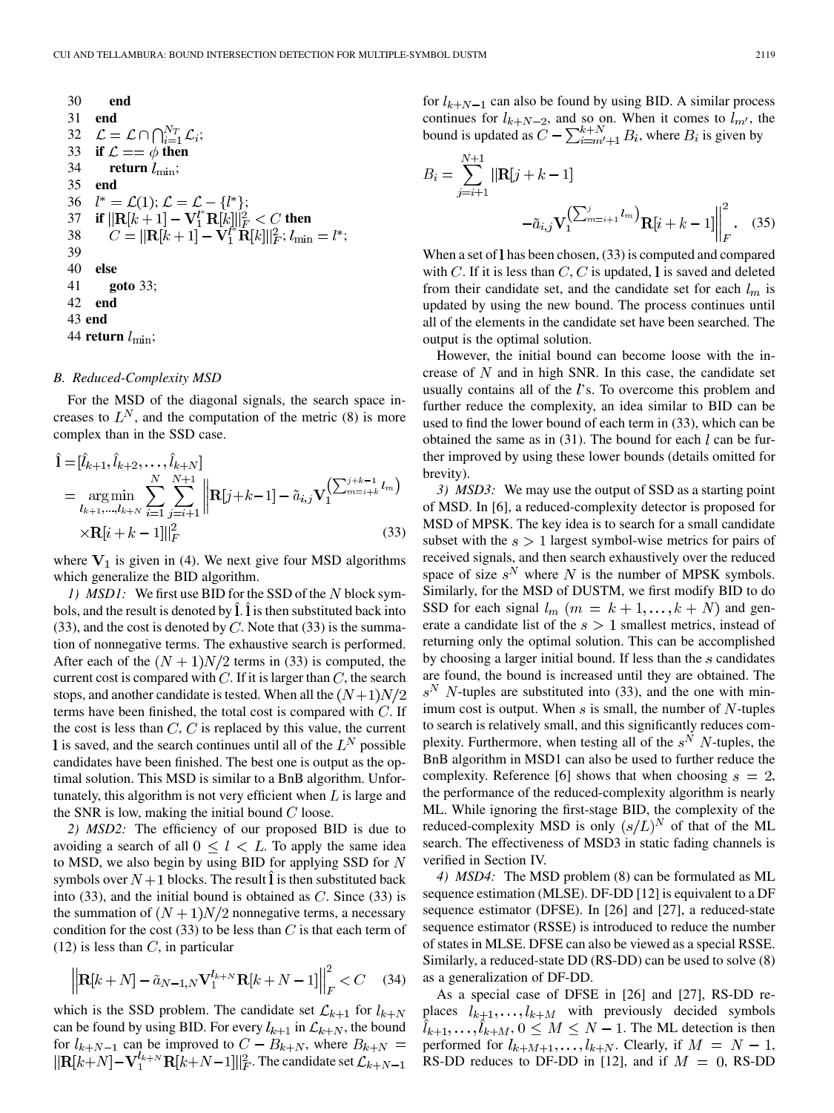30 end  
\n31 end  
\n32 
$$
\mathcal{L} = \mathcal{L} \cap \bigcap_{i=1}^{N_T} \mathcal{L}_i
$$
;  
\n33 if  $\mathcal{L} == \phi$  then  
\n34 return  $l_{\text{min}}$ ;  
\n35 end  
\n36  $l^* = \mathcal{L}(1)$ ;  $\mathcal{L} = \mathcal{L} - \{l^*\}$ ;  
\n37 if  $||\mathbf{R}[k+1] - \mathbf{V}_1^{l^*}\mathbf{R}[k]||_F^2 < C$  then  
\n38  $C = ||\mathbf{R}[k+1] - \mathbf{V}_1^{l^*}\mathbf{R}[k]||_F^2$ ;  $l_{\text{min}} = l^*$ ;  
\n39  
\n40 else  
\n41 goto 33;  
\n42 end  
\n43 end  
\n44 return  $l_{\text{min}}$ ;

## *B. Reduced-Complexity MSD*

For the MSD of the diagonal signals, the search space increases to  $L^N$ , and the computation of the metric (8) is more complex than in the SSD case.

$$
\hat{\mathbf{l}} = [\hat{l}_{k+1}, \hat{l}_{k+2}, \dots, \hat{l}_{k+N}]
$$
\n
$$
= \underset{l_{k+1}, \dots, l_{k+N}}{\arg \min} \sum_{i=1}^{N} \sum_{j=i+1}^{N+1} \left\| \mathbf{R}[j+k-1] - \tilde{a}_{i,j} \mathbf{V}_{1}^{\left(\sum_{m=i+k}^{j+k-1} l_{m}\right)} \right\| \times \mathbf{R}[i+k-1]]_{F}^{2} \tag{33}
$$

where  $V_1$  is given in (4). We next give four MSD algorithms which generalize the BID algorithm.

*1) MSD1*: We first use BID for the SSD of the N block symbols, and the result is denoted by  $\hat{I}$ .  $\hat{I}$  is then substituted back into (33), and the cost is denoted by  $C$ . Note that (33) is the summation of nonnegative terms. The exhaustive search is performed. After each of the  $(N + 1)N/2$  terms in (33) is computed, the current cost is compared with  $C$ . If it is larger than  $C$ , the search stops, and another candidate is tested. When all the  $(N+1)N/2$ terms have been finished, the total cost is compared with  $C$ . If the cost is less than  $C, C$  is replaced by this value, the current I is saved, and the search continues until all of the  $L^N$  possible candidates have been finished. The best one is output as the optimal solution. This MSD is similar to a BnB algorithm. Unfortunately, this algorithm is not very efficient when  $L$  is large and the SNR is low, making the initial bound  $C$  loose.

*2) MSD2:* The efficiency of our proposed BID is due to avoiding a search of all  $0 \leq l \leq L$ . To apply the same idea to MSD, we also begin by using BID for applying SSD for  $N$ symbols over  $N+1$  blocks. The result  $\hat{\mathbf{l}}$  is then substituted back into (33), and the initial bound is obtained as  $C$ . Since (33) is the summation of  $(N + 1)N/2$  nonnegative terms, a necessary condition for the cost (33) to be less than  $C$  is that each term of  $(12)$  is less than C, in particular

$$
\left\| \mathbf{R}[k+N] - \tilde{a}_{N-1,N} \mathbf{V}_1^{l_{k+N}} \mathbf{R}[k+N-1] \right\|_F^2 < C \quad (34)
$$

which is the SSD problem. The candidate set  $\mathcal{L}_{k+1}$  for  $l_{k+N}$ can be found by using BID. For every  $l_{k+1}$  in  $\mathcal{L}_{k+N}$ , the bound for  $l_{k+N-1}$  can be improved to  $C - B_{k+N}$ , where . The candidate set

for  $l_{k+N-1}$  can also be found by using BID. A similar process continues for  $l_{k+N-2}$ , and so on. When it comes to  $l_{m'}$ , the bound is updated as  $C - \sum_{i=m'+1}^{k+N} B_i$ , where  $B_i$  is given by

$$
B_{i} = \sum_{j=i+1}^{N+1} ||\mathbf{R}[j+k-1] - \tilde{a}_{i,j} \mathbf{V}_{1}^{\left(\sum_{m=i+1}^{j} l_{m}\right)} \mathbf{R}[i+k-1] \Big|_{F}^{2}.
$$
 (35)

When a set of  $l$  has been chosen, (33) is computed and compared with  $C$ . If it is less than  $C$ ,  $C$  is updated, I is saved and deleted from their candidate set, and the candidate set for each  $l_m$  is updated by using the new bound. The process continues until all of the elements in the candidate set have been searched. The output is the optimal solution.

However, the initial bound can become loose with the increase of  $N$  and in high SNR. In this case, the candidate set usually contains all of the  $l$ 's. To overcome this problem and further reduce the complexity, an idea similar to BID can be used to find the lower bound of each term in (33), which can be obtained the same as in  $(31)$ . The bound for each l can be further improved by using these lower bounds (details omitted for brevity).

*3) MSD3:* We may use the output of SSD as a starting point of MSD. In [[6\]](#page-9-0), a reduced-complexity detector is proposed for MSD of MPSK. The key idea is to search for a small candidate subset with the  $s > 1$  largest symbol-wise metrics for pairs of received signals, and then search exhaustively over the reduced space of size  $s^N$  where N is the number of MPSK symbols. Similarly, for the MSD of DUSTM, we first modify BID to do SSD for each signal  $l_m$  ( $m = k + 1, ..., k + N$ ) and generate a candidate list of the  $s>1$  smallest metrics, instead of returning only the optimal solution. This can be accomplished by choosing a larger initial bound. If less than the  $s$  candidates are found, the bound is increased until they are obtained. The  $s^N$  N-tuples are substituted into (33), and the one with minimum cost is output. When  $s$  is small, the number of  $N$ -tuples to search is relatively small, and this significantly reduces complexity. Furthermore, when testing all of the  $s^N$  N-tuples, the BnB algorithm in MSD1 can also be used to further reduce the complexity. Reference [\[6](#page-9-0)] shows that when choosing  $s = 2$ , the performance of the reduced-complexity algorithm is nearly ML. While ignoring the first-stage BID, the complexity of the reduced-complexity MSD is only  $(s/L)^N$  of that of the ML search. The effectiveness of MSD3 in static fading channels is verified in Section IV.

*4) MSD4:* The MSD problem (8) can be formulated as ML sequence estimation (MLSE). DF-DD [\[12](#page-9-0)] is equivalent to a DF sequence estimator (DFSE). In [[26\]](#page-9-0) and [[27\]](#page-9-0), a reduced-state sequence estimator (RSSE) is introduced to reduce the number of states in MLSE. DFSE can also be viewed as a special RSSE. Similarly, a reduced-state DD (RS-DD) can be used to solve (8) as a generalization of DF-DD.

As a special case of DFSE in [[26\]](#page-9-0) and [\[27](#page-9-0)], RS-DD replaces  $l_{k+1}, \ldots, l_{k+M}$  with previously decided symbols  $\hat{l}_{k+1}, \ldots, \hat{l}_{k+M}, 0 \leq M \leq N-1$ . The ML detection is then performed for  $l_{k+M+1}, \ldots, l_{k+N}$ . Clearly, if  $M = N - 1$ , RS-DD reduces to DF-DD in [\[12](#page-9-0)], and if  $M = 0$ , RS-DD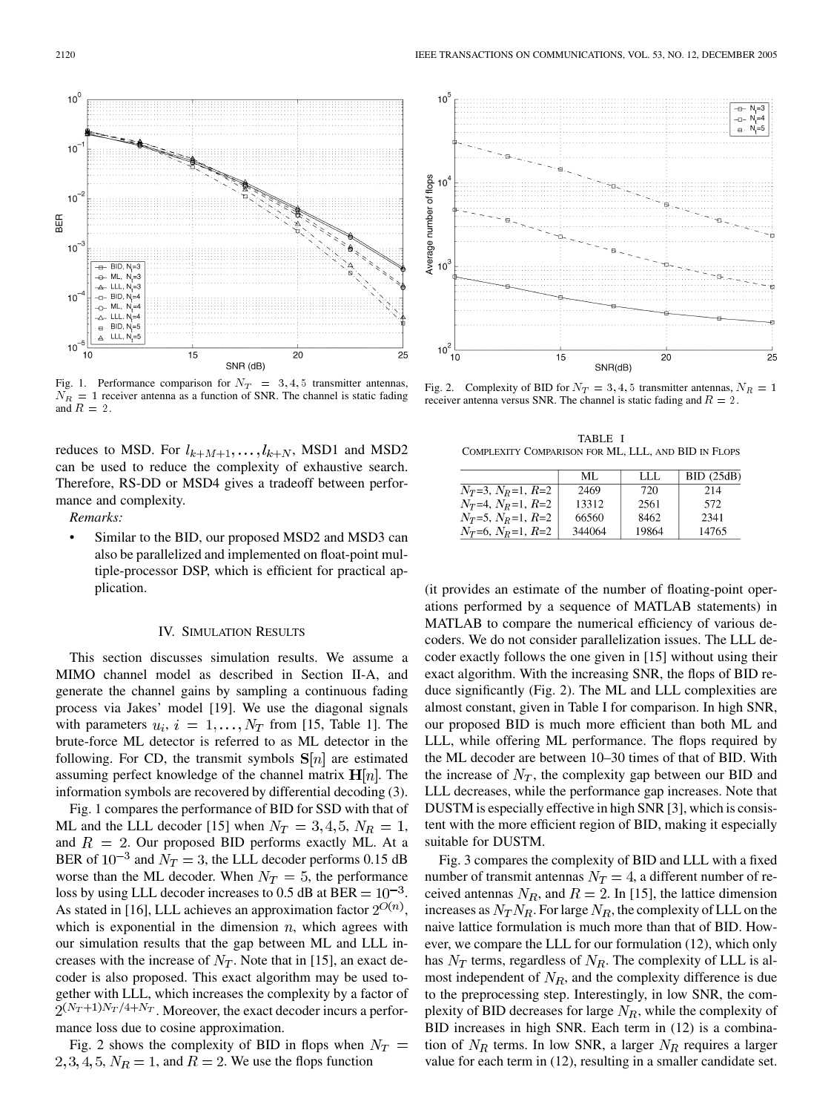$10<sup>7</sup>$ MI LLL,  $N=3$  $\overline{\wedge}$  $BID, N=4$  $10$ o-ML,  $N=4$  $LLL$   $N=4$  $\sim$  $BID, N = 5$ LLL,  $N = 5$  $10$  $10$  $15$ 20 25 SNR (dB)

Fig. 1. Performance comparison for  $N_T = 3, 4, 5$  transmitter antennas,  $N_R = 1$  receiver antenna as a function of SNR. The channel is static fading and  $R = 2$ .

reduces to MSD. For  $l_{k+M+1}, \ldots, l_{k+N}$ , MSD1 and MSD2 can be used to reduce the complexity of exhaustive search. Therefore, RS-DD or MSD4 gives a tradeoff between performance and complexity.

*Remarks:*

Similar to the BID, our proposed MSD2 and MSD3 can also be parallelized and implemented on float-point multiple-processor DSP, which is efficient for practical application.

## IV. SIMULATION RESULTS

This section discusses simulation results. We assume a MIMO channel model as described in Section II-A, and generate the channel gains by sampling a continuous fading process via Jakes' model [\[19](#page-9-0)]. We use the diagonal signals with parameters  $u_i$ ,  $i = 1, ..., N_T$  from [[15,](#page-9-0) Table 1]. The brute-force ML detector is referred to as ML detector in the following. For CD, the transmit symbols  $S[n]$  are estimated assuming perfect knowledge of the channel matrix  $H[n]$ . The information symbols are recovered by differential decoding (3).

Fig. 1 compares the performance of BID for SSD with that of ML and the LLL decoder [\[15](#page-9-0)] when  $N_T = 3, 4, 5, N_R = 1$ , and  $R = 2$ . Our proposed BID performs exactly ML. At a BER of  $10^{-3}$  and  $N_T = 3$ , the LLL decoder performs 0.15 dB worse than the ML decoder. When  $N_T = 5$ , the performance loss by using LLL decoder increases to 0.5 dB at BER  $= 10^{-3}$ . As stated in [\[16](#page-9-0)], LLL achieves an approximation factor  $2^{O(n)}$ , which is exponential in the dimension  $n$ , which agrees with our simulation results that the gap between ML and LLL increases with the increase of  $N_T$ . Note that in [\[15](#page-9-0)], an exact decoder is also proposed. This exact algorithm may be used together with LLL, which increases the complexity by a factor of  $2^{(N_T+1)N_T/4+N_T}$ . Moreover, the exact decoder incurs a performance loss due to cosine approximation.

Fig. 2 shows the complexity of BID in flops when  $N_T =$  $2, 3, 4, 5, N_R = 1$ , and  $R = 2$ . We use the flops function

Fig. 2. Complexity of BID for  $N_T = 3, 4, 5$  transmitter antennas,  $N_R = 1$ receiver antenna versus SNR. The channel is static fading and  $R = 2$ .

TABLE I COMPLEXITY COMPARISON FOR ML, LLL, AND BID IN FLOPS

|                            | ML.    | -LLL  | $BID$ (25dB) |
|----------------------------|--------|-------|--------------|
| $N_T=3, N_R=1, R=2$        | 2469   | 720   | 214          |
| $N_T=4, N_R=1, R=2$        | 13312  | 2561  | 572          |
| $N_T = 5, N_R = 1, R = 2$  | 66560  | 8462  | 2341         |
| $N_T$ =6, $N_R$ =1, $R$ =2 | 344064 | 19864 | 14765        |

(it provides an estimate of the number of floating-point operations performed by a sequence of MATLAB statements) in MATLAB to compare the numerical efficiency of various decoders. We do not consider parallelization issues. The LLL decoder exactly follows the one given in [[15\]](#page-9-0) without using their exact algorithm. With the increasing SNR, the flops of BID reduce significantly (Fig. 2). The ML and LLL complexities are almost constant, given in Table I for comparison. In high SNR, our proposed BID is much more efficient than both ML and LLL, while offering ML performance. The flops required by the ML decoder are between 10–30 times of that of BID. With the increase of  $N_T$ , the complexity gap between our BID and LLL decreases, while the performance gap increases. Note that DUSTM is especially effective in high SNR [\[3](#page-9-0)], which is consistent with the more efficient region of BID, making it especially suitable for DUSTM.

Fig. 3 compares the complexity of BID and LLL with a fixed number of transmit antennas  $N_T = 4$ , a different number of received antennas  $N_R$ , and  $R = 2$ . In [[15\]](#page-9-0), the lattice dimension increases as  $N_T N_R$ . For large  $N_R$ , the complexity of LLL on the naive lattice formulation is much more than that of BID. However, we compare the LLL for our formulation (12), which only has  $N_T$  terms, regardless of  $N_R$ . The complexity of LLL is almost independent of  $N_R$ , and the complexity difference is due to the preprocessing step. Interestingly, in low SNR, the complexity of BID decreases for large  $N_R$ , while the complexity of BID increases in high SNR. Each term in (12) is a combination of  $N_R$  terms. In low SNR, a larger  $N_R$  requires a larger value for each term in (12), resulting in a smaller candidate set.



 $10<sup>°</sup>$ 

 $10$ 

 $10$ 

**BER**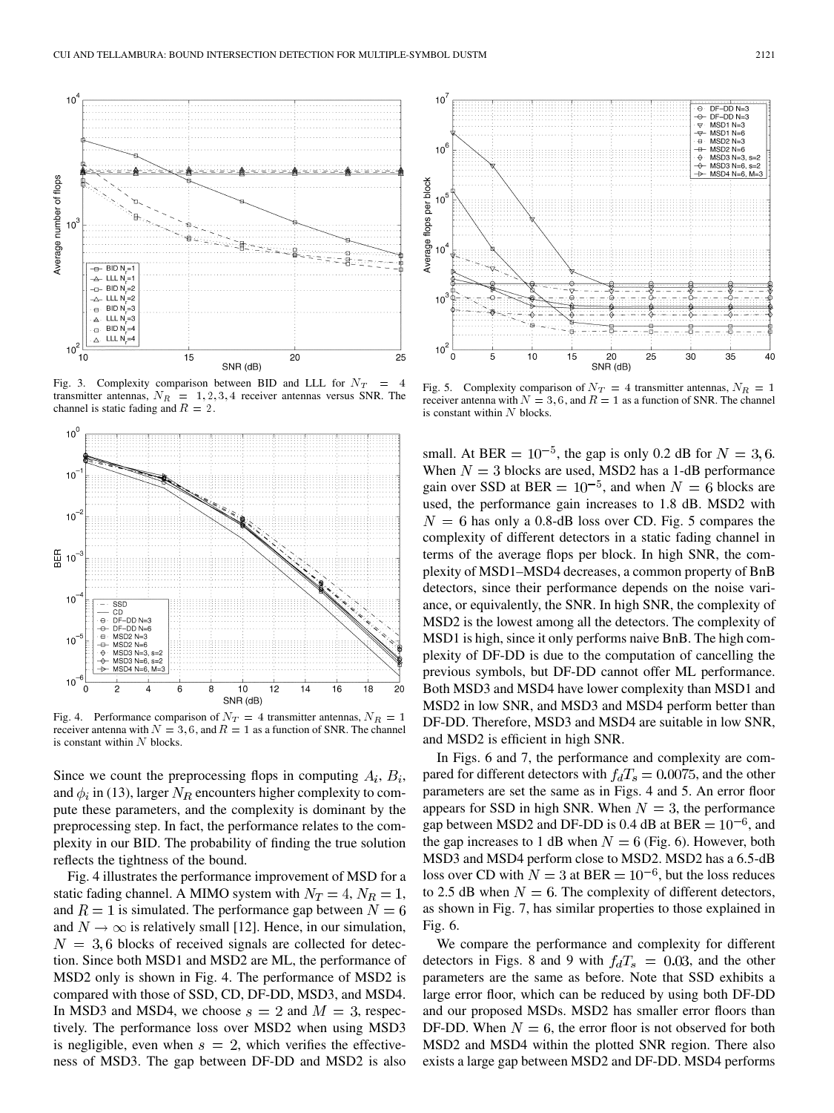

Fig. 3. Complexity comparison between BID and LLL for  $N_T = 4$ transmitter antennas,  $N_R = 1, 2, 3, 4$  receiver antennas versus SNR. The channel is static fading and  $R = 2$ .



Fig. 4. Performance comparison of  $N_T = 4$  transmitter antennas,  $N_R = 1$ receiver antenna with  $N = 3, 6$ , and  $R = 1$  as a function of SNR. The channel is constant within  $N$  blocks.

Since we count the preprocessing flops in computing  $A_i$ ,  $B_i$ , and  $\phi_i$  in (13), larger  $N_R$  encounters higher complexity to compute these parameters, and the complexity is dominant by the preprocessing step. In fact, the performance relates to the complexity in our BID. The probability of finding the true solution reflects the tightness of the bound.

Fig. 4 illustrates the performance improvement of MSD for a static fading channel. A MIMO system with  $N_T = 4$ ,  $N_R = 1$ , and  $R = 1$  is simulated. The performance gap between  $N = 6$ and  $N \rightarrow \infty$  is relatively small [\[12](#page-9-0)]. Hence, in our simulation,  $N = 3,6$  blocks of received signals are collected for detection. Since both MSD1 and MSD2 are ML, the performance of MSD2 only is shown in Fig. 4. The performance of MSD2 is compared with those of SSD, CD, DF-DD, MSD3, and MSD4. In MSD3 and MSD4, we choose  $s = 2$  and  $M = 3$ , respectively. The performance loss over MSD2 when using MSD3 is negligible, even when  $s = 2$ , which verifies the effectiveness of MSD3. The gap between DF-DD and MSD2 is also



Fig. 5. Complexity comparison of  $N_T = 4$  transmitter antennas,  $N_R = 1$ receiver antenna with  $N = 3, 6$ , and  $R = 1$  as a function of SNR. The channel is constant within  $N$  blocks.

small. At BER =  $10^{-5}$ , the gap is only 0.2 dB for  $N = 3, 6$ . When  $N = 3$  blocks are used, MSD2 has a 1-dB performance gain over SSD at BER =  $10^{-5}$ , and when  $N = 6$  blocks are used, the performance gain increases to 1.8 dB. MSD2 with  $N = 6$  has only a 0.8-dB loss over CD. Fig. 5 compares the complexity of different detectors in a static fading channel in terms of the average flops per block. In high SNR, the complexity of MSD1–MSD4 decreases, a common property of BnB detectors, since their performance depends on the noise variance, or equivalently, the SNR. In high SNR, the complexity of MSD2 is the lowest among all the detectors. The complexity of MSD1 is high, since it only performs naive BnB. The high complexity of DF-DD is due to the computation of cancelling the previous symbols, but DF-DD cannot offer ML performance. Both MSD3 and MSD4 have lower complexity than MSD1 and MSD2 in low SNR, and MSD3 and MSD4 perform better than DF-DD. Therefore, MSD3 and MSD4 are suitable in low SNR, and MSD2 is efficient in high SNR.

In Figs. 6 and 7, the performance and complexity are compared for different detectors with  $f_dT_s = 0.0075$ , and the other parameters are set the same as in Figs. 4 and 5. An error floor appears for SSD in high SNR. When  $N = 3$ , the performance gap between MSD2 and DF-DD is 0.4 dB at BER  $= 10^{-6}$ , and the gap increases to 1 dB when  $N = 6$  (Fig. 6). However, both MSD3 and MSD4 perform close to MSD2. MSD2 has a 6.5-dB loss over CD with  $N = 3$  at BER =  $10^{-6}$ , but the loss reduces to 2.5 dB when  $N = 6$ . The complexity of different detectors, as shown in Fig. 7, has similar properties to those explained in Fig. 6.

We compare the performance and complexity for different detectors in Figs. 8 and 9 with  $f_dT_s = 0.03$ , and the other parameters are the same as before. Note that SSD exhibits a large error floor, which can be reduced by using both DF-DD and our proposed MSDs. MSD2 has smaller error floors than DF-DD. When  $N = 6$ , the error floor is not observed for both MSD2 and MSD4 within the plotted SNR region. There also exists a large gap between MSD2 and DF-DD. MSD4 performs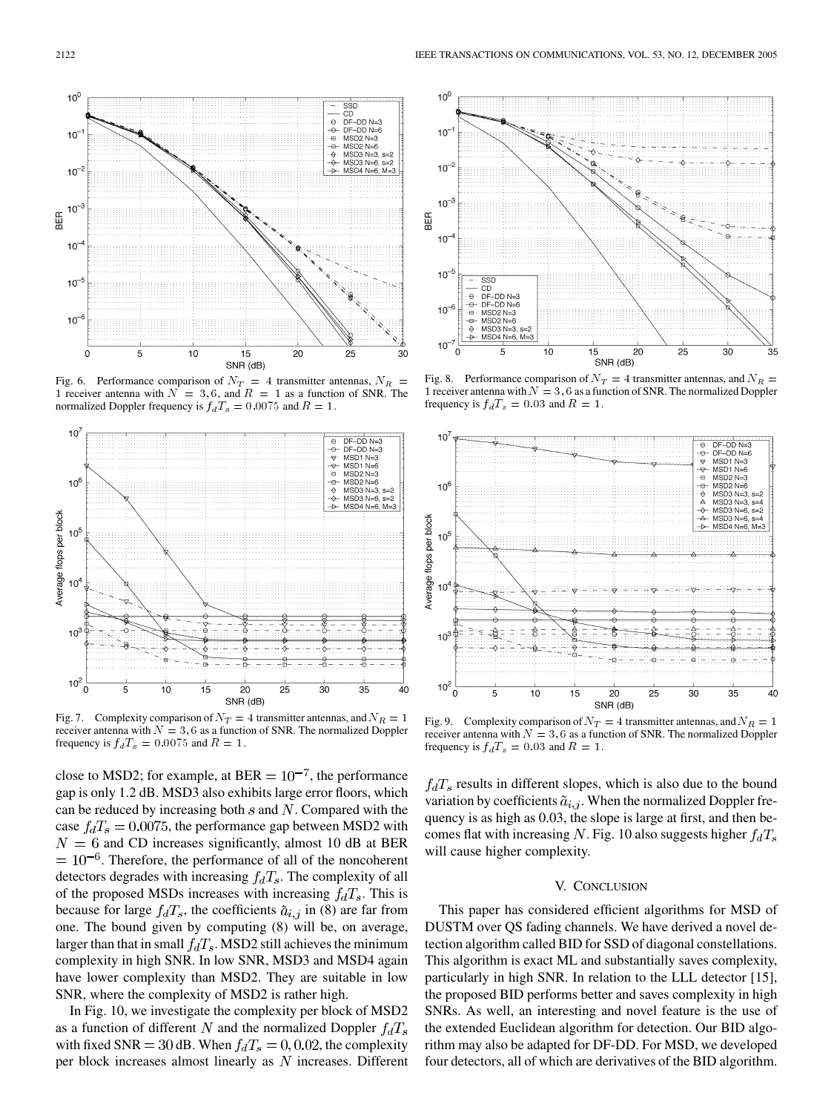

Fig. 6. Performance comparison of  $N_T = 4$  transmitter antennas,  $N_R =$ 1 receiver antenna with  $N = 3, 6$ , and  $R = 1$  as a function of SNR. The normalized Doppler frequency is  $f_dT_s = 0.0075$  and  $R = 1$ .



Fig. 7. Complexity comparison of  $N_T = 4$  transmitter antennas, and  $N_R = 1$ receiver antenna with  $N = 3, 6$  as a function of SNR. The normalized Doppler frequency is  $f_d T_s = 0.0075$  and  $R = 1$ .

close to MSD2; for example, at BER  $= 10^{-7}$ , the performance gap is only 1.2 dB. MSD3 also exhibits large error floors, which can be reduced by increasing both  $s$  and  $N$ . Compared with the case  $f_dT_s = 0.0075$ , the performance gap between MSD2 with  $N = 6$  and CD increases significantly, almost 10 dB at BER  $= 10^{-6}$ . Therefore, the performance of all of the noncoherent detectors degrades with increasing  $f_dT_s$ . The complexity of all of the proposed MSDs increases with increasing  $f_dT_s$ . This is because for large  $f_dT_s$ , the coefficients  $\tilde{a}_{i,j}$  in (8) are far from one. The bound given by computing (8) will be, on average, larger than that in small  $f_dT_s$ . MSD2 still achieves the minimum complexity in high SNR. In low SNR, MSD3 and MSD4 again have lower complexity than MSD2. They are suitable in low SNR, where the complexity of MSD2 is rather high.

In Fig. 10, we investigate the complexity per block of MSD2 as a function of different N and the normalized Doppler  $f_dT_s$ with fixed SNR = 30 dB. When  $f_dT_s = 0, 0.02$ , the complexity per block increases almost linearly as  $N$  increases. Different



Fig. 8. Performance comparison of  $N_T = 4$  transmitter antennas, and  $N_R =$ 1 receiver antenna with  $N = 3, 6$  as a function of SNR. The normalized Doppler frequency is  $f_d T_s = 0.03$  and  $R = 1$ .



Fig. 9. Complexity comparison of  $N_T = 4$  transmitter antennas, and  $N_R = 1$ receiver antenna with  $N = 3, 6$  as a function of SNR. The normalized Doppler frequency is  $f_d T_s = 0.03$  and  $R = 1$ .

 $f_dT_s$  results in different slopes, which is also due to the bound variation by coefficients  $\tilde{a}_{i,j}$ . When the normalized Doppler frequency is as high as 0.03, the slope is large at first, and then becomes flat with increasing N. Fig. 10 also suggests higher  $f_dT_s$ will cause higher complexity.

#### V. CONCLUSION

This paper has considered efficient algorithms for MSD of DUSTM over QS fading channels. We have derived a novel detection algorithm called BID for SSD of diagonal constellations. This algorithm is exact ML and substantially saves complexity, particularly in high SNR. In relation to the LLL detector [[15\]](#page-9-0), the proposed BID performs better and saves complexity in high SNRs. As well, an interesting and novel feature is the use of the extended Euclidean algorithm for detection. Our BID algorithm may also be adapted for DF-DD. For MSD, we developed four detectors, all of which are derivatives of the BID algorithm.

 $10<sup>C</sup>$